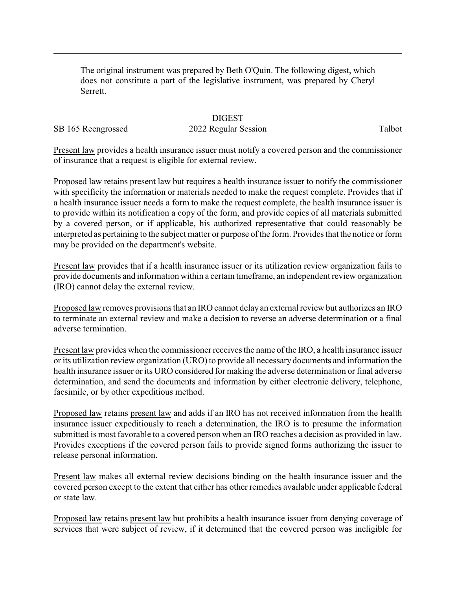The original instrument was prepared by Beth O'Quin. The following digest, which does not constitute a part of the legislative instrument, was prepared by Cheryl Serrett.

## **DIGEST**

## SB 165 Reengrossed 2022 Regular Session Talbot

Present law provides a health insurance issuer must notify a covered person and the commissioner of insurance that a request is eligible for external review.

Proposed law retains present law but requires a health insurance issuer to notify the commissioner with specificity the information or materials needed to make the request complete. Provides that if a health insurance issuer needs a form to make the request complete, the health insurance issuer is to provide within its notification a copy of the form, and provide copies of all materials submitted by a covered person, or if applicable, his authorized representative that could reasonably be interpreted as pertaining to the subject matter or purpose of the form. Provides that the notice or form may be provided on the department's website.

Present law provides that if a health insurance issuer or its utilization review organization fails to provide documents and information within a certain timeframe, an independent review organization (IRO) cannot delay the external review.

Proposed law removes provisions that an IRO cannot delayan external review but authorizes an IRO to terminate an external review and make a decision to reverse an adverse determination or a final adverse termination.

Present law provides when the commissioner receives the name of the IRO, a health insurance issuer or its utilization review organization (URO) to provide all necessary documents and information the health insurance issuer or its URO considered for making the adverse determination or final adverse determination, and send the documents and information by either electronic delivery, telephone, facsimile, or by other expeditious method.

Proposed law retains present law and adds if an IRO has not received information from the health insurance issuer expeditiously to reach a determination, the IRO is to presume the information submitted is most favorable to a covered person when an IRO reaches a decision as provided in law. Provides exceptions if the covered person fails to provide signed forms authorizing the issuer to release personal information.

Present law makes all external review decisions binding on the health insurance issuer and the covered person except to the extent that either has other remedies available under applicable federal or state law.

Proposed law retains present law but prohibits a health insurance issuer from denying coverage of services that were subject of review, if it determined that the covered person was ineligible for